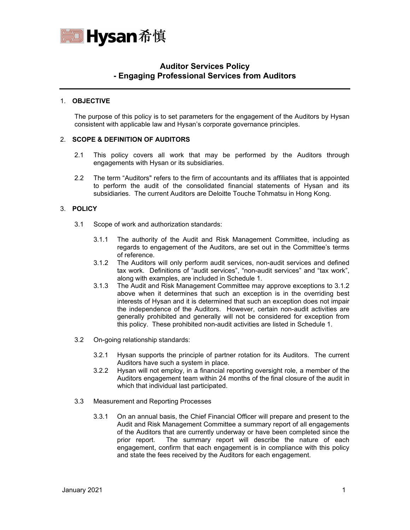

# **Auditor Services Policy - Engaging Professional Services from Auditors**

## 1. **OBJECTIVE**

The purpose of this policy is to set parameters for the engagement of the Auditors by Hysan consistent with applicable law and Hysan's corporate governance principles.

## 2. **SCOPE & DEFINITION OF AUDITORS**

- 2.1 This policy covers all work that may be performed by the Auditors through engagements with Hysan or its subsidiaries.
- 2.2 The term "Auditors" refers to the firm of accountants and its affiliates that is appointed to perform the audit of the consolidated financial statements of Hysan and its subsidiaries. The current Auditors are Deloitte Touche Tohmatsu in Hong Kong.

#### 3. **POLICY**

- 3.1 Scope of work and authorization standards:
	- 3.1.1 The authority of the Audit and Risk Management Committee, including as regards to engagement of the Auditors, are set out in the Committee's terms of reference.
	- 3.1.2 The Auditors will only perform audit services, non-audit services and defined tax work. Definitions of "audit services", "non-audit services" and "tax work", along with examples, are included in Schedule 1.
	- 3.1.3 The Audit and Risk Management Committee may approve exceptions to 3.1.2 above when it determines that such an exception is in the overriding best interests of Hysan and it is determined that such an exception does not impair the independence of the Auditors. However, certain non-audit activities are generally prohibited and generally will not be considered for exception from this policy. These prohibited non-audit activities are listed in Schedule 1.
- 3.2 On-going relationship standards:
	- 3.2.1 Hysan supports the principle of partner rotation for its Auditors. The current Auditors have such a system in place.
	- 3.2.2 Hysan will not employ, in a financial reporting oversight role, a member of the Auditors engagement team within 24 months of the final closure of the audit in which that individual last participated.
- 3.3 Measurement and Reporting Processes
	- 3.3.1 On an annual basis, the Chief Financial Officer will prepare and present to the Audit and Risk Management Committee a summary report of all engagements of the Auditors that are currently underway or have been completed since the prior report. The summary report will describe the nature of each engagement, confirm that each engagement is in compliance with this policy and state the fees received by the Auditors for each engagement.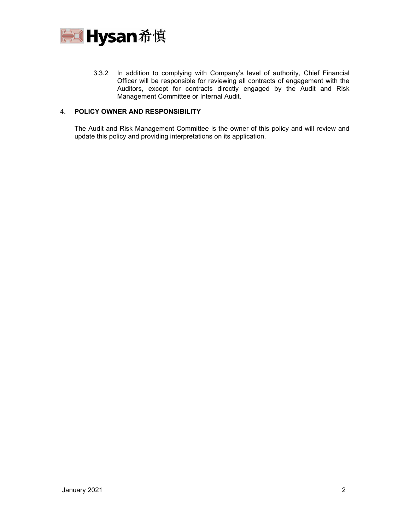

3.3.2 In addition to complying with Company's level of authority, Chief Financial Officer will be responsible for reviewing all contracts of engagement with the Auditors, except for contracts directly engaged by the Audit and Risk Management Committee or Internal Audit.

## 4. **POLICY OWNER AND RESPONSIBILITY**

The Audit and Risk Management Committee is the owner of this policy and will review and update this policy and providing interpretations on its application.